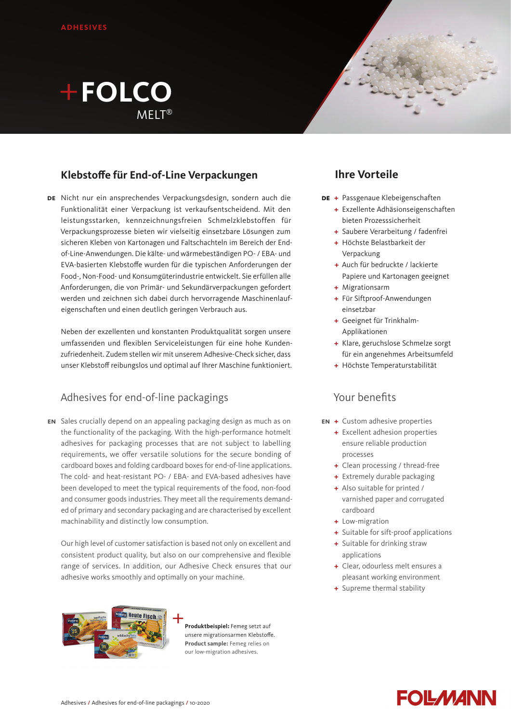# **FOLCO**  $MFI$ T<sup>®</sup>

### **Klebstoffe für End-of-Line Verpackungen**

**DE** Nicht nur ein ansprechendes Verpackungsdesign, sondern auch die Funktionalität einer Verpackung ist verkaufsentscheidend. Mit den leistungsstarken, kennzeichnungsfreien Schmelzklebstoffen für Verpackungsprozesse bieten wir vielseitig einsetzbare Lösungen zum sicheren Kleben von Kartonagen und Faltschachteln im Bereich der Endof-Line-Anwendungen. Die kälte- und wärmebeständigen PO- / EBA- und EVA-basierten Klebstoffe wurden für die typischen Anforderungen der Food-, Non-Food- und Konsumgüterindustrie entwickelt. Sie erfüllen alle Anforderungen, die von Primär- und Sekundärverpackungen gefordert werden und zeichnen sich dabei durch hervorragende Maschinenlaufeigenschaften und einen deutlich geringen Verbrauch aus.

Neben der exzellenten und konstanten Produktqualität sorgen unsere umfassenden und flexiblen Serviceleistungen für eine hohe Kundenzufriedenheit. Zudem stellen wir mit unserem Adhesive-Check sicher, dass unser Klebstoff reibungslos und optimal auf Ihrer Maschine funktioniert.

### Adhesives for end-of-line packagings

Sales crucially depend on an appealing packaging design as much as on **en** the functionality of the packaging. With the high-performance hotmelt adhesives for packaging processes that are not subject to labelling requirements, we offer versatile solutions for the secure bonding of cardboard boxes and folding cardboard boxes for end-of-line applications. The cold- and heat-resistant PO- / EBA- and EVA-based adhesives have been developed to meet the typical requirements of the food, non-food and consumer goods industries. They meet all the requirements demanded of primary and secondary packaging and are characterised by excellent machinability and distinctly low consumption.

Our high level of customer satisfaction is based not only on excellent and consistent product quality, but also on our comprehensive and flexible range of services. In addition, our Adhesive Check ensures that our adhesive works smoothly and optimally on your machine.



**Produktbeispiel:** Femeg setzt auf unsere migrationsarmen Klebstoffe. **Product sample:** Femeg relies on our low-migration adhesives.



- **DE +** Passgenaue Klebeigenschaften
	- **+** Exzellente Adhäsionseigenschaften bieten Prozesssicherheit
	- **+** Saubere Verarbeitung / fadenfrei
	- **+** Höchste Belastbarkeit der Verpackung
	- **+** Auch für bedruckte / lackierte Papiere und Kartonagen geeignet
	- **+** Migrationsarm
	- **+** Für Siftproof-Anwendungen einsetzbar
	- **+** Geeignet für Trinkhalm-Applikationen
	- **+** Klare, geruchslose Schmelze sorgt für ein angenehmes Arbeitsumfeld
	- **+** Höchste Temperaturstabilität

### Your benefits

- **+** Custom adhesive properties **en**
	- **+** Excellent adhesion properties ensure reliable production processes
	- **+** Clean processing / thread-free
	- **+** Extremely durable packaging
	- **+** Also suitable for printed / varnished paper and corrugated cardboard
	- **+** Low-migration
	- **+** Suitable for sift-proof applications
	- **+** Suitable for drinking straw applications
	- **+** Clear, odourless melt ensures a pleasant working environment
	- **+** Supreme thermal stability

# **FOLMANN**